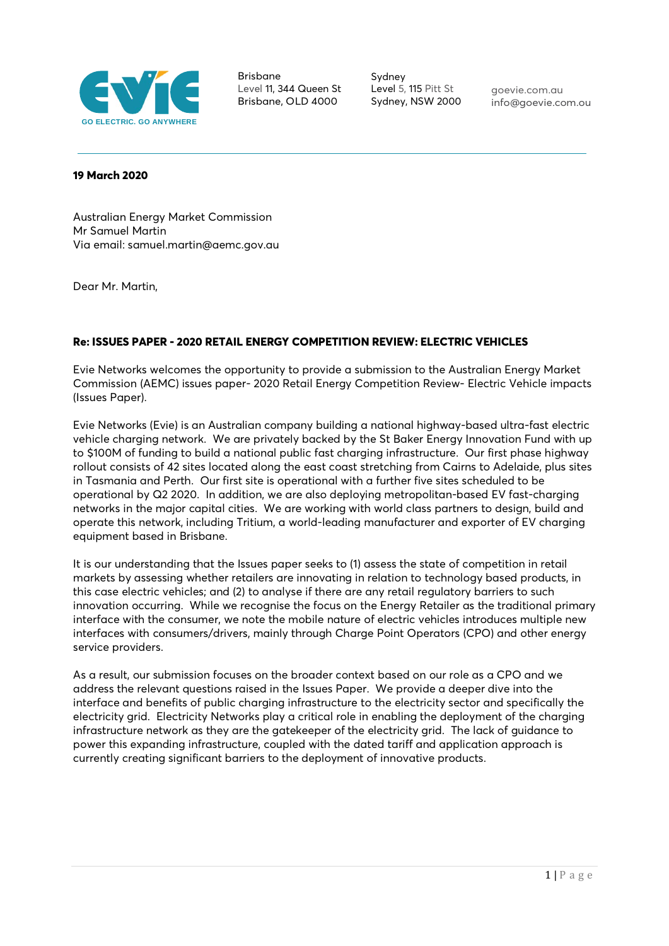

Brisbane Level 11, 344 Queen St Brisbane, OLD 4000

Sydney Level 5, 115 Pitt St Sydney, NSW 2000

goevie.com.au [info@goevie.com.ou](mailto:info@goevie.com.ou)

#### **19 March 2020**

Australian Energy Market Commission Mr Samuel Martin Via email: samuel.martin@aemc.gov.au

Dear Mr. Martin,

# **Re: ISSUES PAPER - 2020 RETAIL ENERGY COMPETITION REVIEW: ELECTRIC VEHICLES**

Evie Networks welcomes the opportunity to provide a submission to the Australian Energy Market Commission (AEMC) issues paper- 2020 Retail Energy Competition Review- Electric Vehicle impacts (Issues Paper).

Evie Networks (Evie) is an Australian company building a national highway-based ultra-fast electric vehicle charging network. We are privately backed by the St Baker Energy Innovation Fund with up to \$100M of funding to build a national public fast charging infrastructure. Our first phase highway rollout consists of 42 sites located along the east coast stretching from Cairns to Adelaide, plus sites in Tasmania and Perth. Our first site is operational with a further five sites scheduled to be operational by Q2 2020. In addition, we are also deploying metropolitan-based EV fast-charging networks in the major capital cities. We are working with world class partners to design, build and operate this network, including Tritium, a world-leading manufacturer and exporter of EV charging equipment based in Brisbane.

It is our understanding that the Issues paper seeks to (1) assess the state of competition in retail markets by assessing whether retailers are innovating in relation to technology based products, in this case electric vehicles; and (2) to analyse if there are any retail regulatory barriers to such innovation occurring. While we recognise the focus on the Energy Retailer as the traditional primary interface with the consumer, we note the mobile nature of electric vehicles introduces multiple new interfaces with consumers/drivers, mainly through Charge Point Operators (CPO) and other energy service providers.

As a result, our submission focuses on the broader context based on our role as a CPO and we address the relevant questions raised in the Issues Paper. We provide a deeper dive into the interface and benefits of public charging infrastructure to the electricity sector and specifically the electricity grid. Electricity Networks play a critical role in enabling the deployment of the charging infrastructure network as they are the gatekeeper of the electricity grid. The lack of guidance to power this expanding infrastructure, coupled with the dated tariff and application approach is currently creating significant barriers to the deployment of innovative products.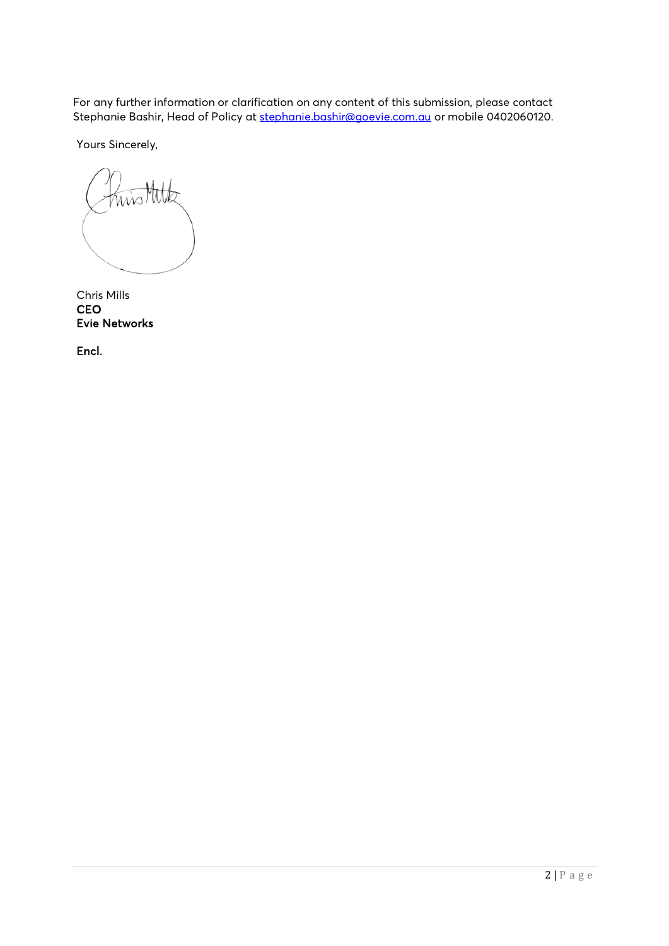For any further information or clarification on any content of this submission, please contact Stephanie Bashir, Head of Policy at [stephanie.bashir@goevie.com.au](mailto:stephanie.bashir@goevie.com.au) or mobile 0402060120.

Yours Sincerely,

wis Mite

Chris Mills **CEO** Evie Networks

Encl.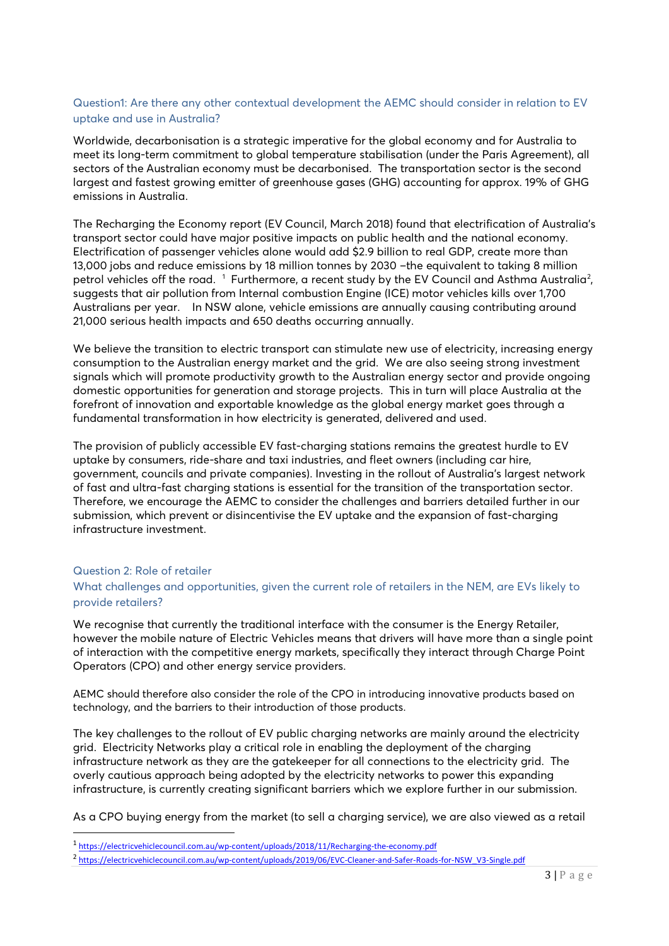# Question1: Are there any other contextual development the AEMC should consider in relation to EV uptake and use in Australia?

Worldwide, decarbonisation is a strategic imperative for the global economy and for Australia to meet its long-term commitment to global temperature stabilisation (under the Paris Agreement), all sectors of the Australian economy must be decarbonised. The transportation sector is the second largest and fastest growing emitter of greenhouse gases (GHG) accounting for approx. 19% of GHG emissions in Australia.

The Recharging the Economy report (EV Council, March 2018) found that electrification of Australia's transport sector could have major positive impacts on public health and the national economy. Electrification of passenger vehicles alone would add \$2.9 billion to real GDP, create more than 13,000 jobs and reduce emissions by 18 million tonnes by 2030 –the equivalent to taking 8 million petrol vehicles off the road.  $1$  Furthermore, a recent study by the EV Council and Asthma Australia<sup>[2](#page-2-1)</sup>, suggests that air pollution from Internal combustion Engine (ICE) motor vehicles kills over 1,700 Australians per year. In NSW alone, vehicle emissions are annually causing contributing around 21,000 serious health impacts and 650 deaths occurring annually.

We believe the transition to electric transport can stimulate new use of electricity, increasing energy consumption to the Australian energy market and the grid. We are also seeing strong investment signals which will promote productivity growth to the Australian energy sector and provide ongoing domestic opportunities for generation and storage projects. This in turn will place Australia at the forefront of innovation and exportable knowledge as the global energy market goes through a fundamental transformation in how electricity is generated, delivered and used.

The provision of publicly accessible EV fast-charging stations remains the greatest hurdle to EV uptake by consumers, ride-share and taxi industries, and fleet owners (including car hire, government, councils and private companies). Investing in the rollout of Australia's largest network of fast and ultra-fast charging stations is essential for the transition of the transportation sector. Therefore, we encourage the AEMC to consider the challenges and barriers detailed further in our submission, which prevent or disincentivise the EV uptake and the expansion of fast-charging infrastructure investment.

## Question 2: Role of retailer

# What challenges and opportunities, given the current role of retailers in the NEM, are EVs likely to provide retailers?

We recognise that currently the traditional interface with the consumer is the Energy Retailer, however the mobile nature of Electric Vehicles means that drivers will have more than a single point of interaction with the competitive energy markets, specifically they interact through Charge Point Operators (CPO) and other energy service providers.

AEMC should therefore also consider the role of the CPO in introducing innovative products based on technology, and the barriers to their introduction of those products.

The key challenges to the rollout of EV public charging networks are mainly around the electricity grid. Electricity Networks play a critical role in enabling the deployment of the charging infrastructure network as they are the gatekeeper for all connections to the electricity grid. The overly cautious approach being adopted by the electricity networks to power this expanding infrastructure, is currently creating significant barriers which we explore further in our submission.

As a CPO buying energy from the market (to sell a charging service), we are also viewed as a retail

<span id="page-2-0"></span><sup>1</sup> <https://electricvehiclecouncil.com.au/wp-content/uploads/2018/11/Recharging-the-economy.pdf>

<span id="page-2-1"></span><sup>&</sup>lt;sup>2</sup> [https://electricvehiclecouncil.com.au/wp-content/uploads/2019/06/EVC-Cleaner-and-Safer-Roads-for-NSW\\_V3-Single.pdf](https://electricvehiclecouncil.com.au/wp-content/uploads/2019/06/EVC-Cleaner-and-Safer-Roads-for-NSW_V3-Single.pdf)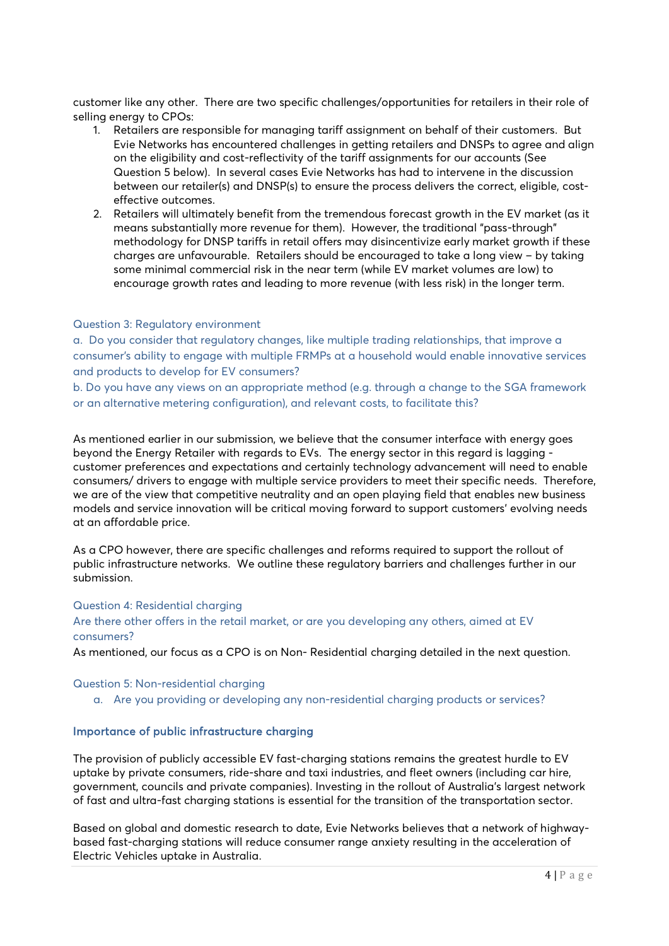customer like any other. There are two specific challenges/opportunities for retailers in their role of selling energy to CPOs:

- 1. Retailers are responsible for managing tariff assignment on behalf of their customers. But Evie Networks has encountered challenges in getting retailers and DNSPs to agree and align on the eligibility and cost-reflectivity of the tariff assignments for our accounts (See Question 5 below). In several cases Evie Networks has had to intervene in the discussion between our retailer(s) and DNSP(s) to ensure the process delivers the correct, eligible, costeffective outcomes.
- 2. Retailers will ultimately benefit from the tremendous forecast growth in the EV market (as it means substantially more revenue for them). However, the traditional "pass-through" methodology for DNSP tariffs in retail offers may disincentivize early market growth if these charges are unfavourable. Retailers should be encouraged to take a long view – by taking some minimal commercial risk in the near term (while EV market volumes are low) to encourage growth rates and leading to more revenue (with less risk) in the longer term.

#### Question 3: Regulatory environment

a. Do you consider that regulatory changes, like multiple trading relationships, that improve a consumer's ability to engage with multiple FRMPs at a household would enable innovative services and products to develop for EV consumers?

b. Do you have any views on an appropriate method (e.g. through a change to the SGA framework or an alternative metering configuration), and relevant costs, to facilitate this?

As mentioned earlier in our submission, we believe that the consumer interface with energy goes beyond the Energy Retailer with regards to EVs. The energy sector in this regard is lagging customer preferences and expectations and certainly technology advancement will need to enable consumers/ drivers to engage with multiple service providers to meet their specific needs. Therefore, we are of the view that competitive neutrality and an open playing field that enables new business models and service innovation will be critical moving forward to support customers' evolving needs at an affordable price.

As a CPO however, there are specific challenges and reforms required to support the rollout of public infrastructure networks. We outline these regulatory barriers and challenges further in our submission.

#### Question 4: Residential charging

## Are there other offers in the retail market, or are you developing any others, aimed at EV consumers?

As mentioned, our focus as a CPO is on Non- Residential charging detailed in the next question.

#### Question 5: Non-residential charging

a. Are you providing or developing any non-residential charging products or services?

## Importance of public infrastructure charging

The provision of publicly accessible EV fast-charging stations remains the greatest hurdle to EV uptake by private consumers, ride-share and taxi industries, and fleet owners (including car hire, government, councils and private companies). Investing in the rollout of Australia's largest network of fast and ultra-fast charging stations is essential for the transition of the transportation sector.

Based on global and domestic research to date, Evie Networks believes that a network of highwaybased fast-charging stations will reduce consumer range anxiety resulting in the acceleration of Electric Vehicles uptake in Australia.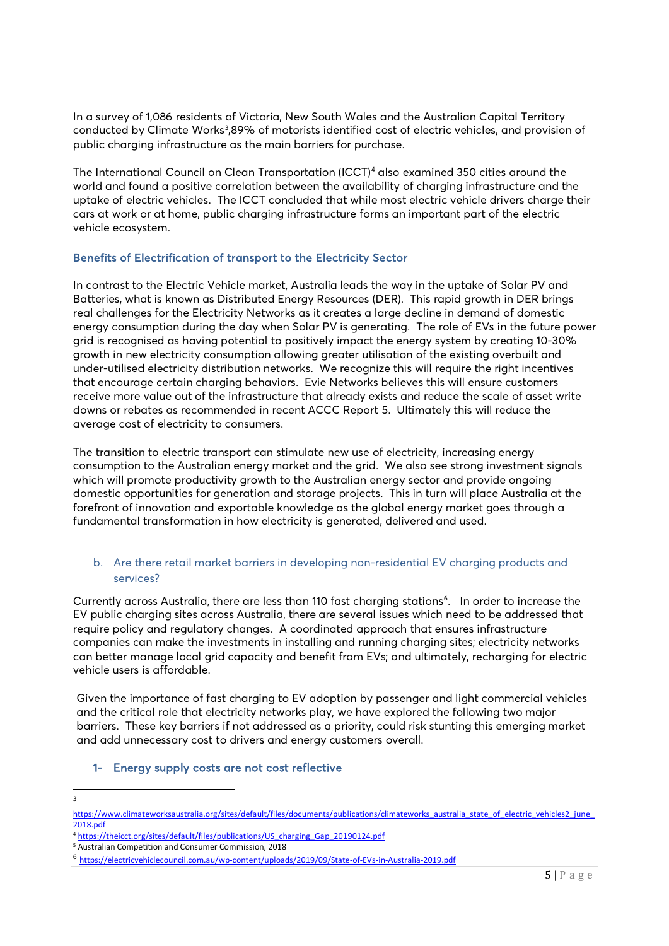In a survey of 1,086 residents of Victoria, New South Wales and the Australian Capital Territory conducted by Climate Works<sup>[3](#page-4-0)</sup>,89% of motorists identified cost of electric vehicles, and provision of public charging infrastructure as the main barriers for purchase.

The International Council on Clean Transportation (ICCT)<sup>4</sup> also examined 350 cities around the world and found a positive correlation between the availability of charging infrastructure and the uptake of electric vehicles. The ICCT concluded that while most electric vehicle drivers charge their cars at work or at home, public charging infrastructure forms an important part of the electric vehicle ecosystem.

# Benefits of Electrification of transport to the Electricity Sector

In contrast to the Electric Vehicle market, Australia leads the way in the uptake of Solar PV and Batteries, what is known as Distributed Energy Resources (DER). This rapid growth in DER brings real challenges for the Electricity Networks as it creates a large decline in demand of domestic energy consumption during the day when Solar PV is generating. The role of EVs in the future power grid is recognised as having potential to positively impact the energy system by creating 10-30% growth in new electricity consumption allowing greater utilisation of the existing overbuilt and under-utilised electricity distribution networks. We recognize this will require the right incentives that encourage certain charging behaviors. Evie Networks believes this will ensure customers receive more value out of the infrastructure that already exists and reduce the scale of asset write downs or rebates as recommended in recent ACCC Report [5](#page-4-2). Ultimately this will reduce the average cost of electricity to consumers.

The transition to electric transport can stimulate new use of electricity, increasing energy consumption to the Australian energy market and the grid. We also see strong investment signals which will promote productivity growth to the Australian energy sector and provide ongoing domestic opportunities for generation and storage projects. This in turn will place Australia at the forefront of innovation and exportable knowledge as the global energy market goes through a fundamental transformation in how electricity is generated, delivered and used.

# b. Are there retail market barriers in developing non-residential EV charging products and services?

Currently across Australia, there are less than 110 fast charging stations<sup>6</sup>. In order to increase the EV public charging sites across Australia, there are several issues which need to be addressed that require policy and regulatory changes. A coordinated approach that ensures infrastructure companies can make the investments in installing and running charging sites; electricity networks can better manage local grid capacity and benefit from EVs; and ultimately, recharging for electric vehicle users is affordable.

Given the importance of fast charging to EV adoption by passenger and light commercial vehicles and the critical role that electricity networks play, we have explored the following two major barriers. These key barriers if not addressed as a priority, could risk stunting this emerging market and add unnecessary cost to drivers and energy customers overall.

# 1- Energy supply costs are not cost reflective

3

<span id="page-4-0"></span>https://www.climateworksaustralia.org/sites/default/files/documents/publications/climateworks\_australia\_state\_of\_electric\_vehicles2\_june [2018.pdf](https://www.climateworksaustralia.org/sites/default/files/documents/publications/climateworks_australia_state_of_electric_vehicles2_june_2018.pdf)

<span id="page-4-1"></span><sup>&</sup>lt;sup>4</sup> [https://theicct.org/sites/default/files/publications/US\\_charging\\_Gap\\_20190124.pdf](https://theicct.org/sites/default/files/publications/US_charging_Gap_20190124.pdf)

<span id="page-4-2"></span><sup>5</sup> Australian Competition and Consumer Commission, 2018

<span id="page-4-3"></span><sup>6</sup> <https://electricvehiclecouncil.com.au/wp-content/uploads/2019/09/State-of-EVs-in-Australia-2019.pdf>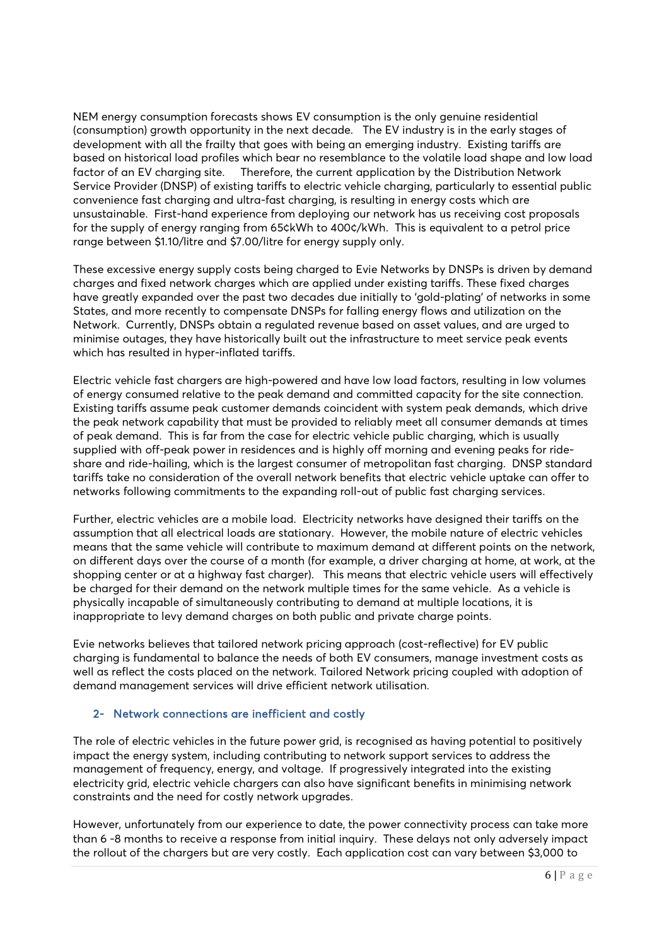NEM energy consumption forecasts shows EV consumption is the only genuine residential (consumption) growth opportunity in the next decade. The EV industry is in the early stages of development with all the frailty that goes with being an emerging industry. Existing tariffs are based on historical load profiles which bear no resemblance to the volatile load shape and low load factor of an EV charging site. Therefore, the current application by the Distribution Network Service Provider (DNSP) of existing tariffs to electric vehicle charging, particularly to essential public convenience fast charging and ultra-fast charging, is resulting in energy costs which are unsustainable. First-hand experience from deploying our network has us receiving cost proposals for the supply of energy ranging from 65¢kWh to 400¢/kWh. This is equivalent to a petrol price range between \$1.10/litre and \$7.00/litre for energy supply only.

These excessive energy supply costs being charged to Evie Networks by DNSPs is driven by demand charges and fixed network charges which are applied under existing tariffs. These fixed charges have greatly expanded over the past two decades due initially to 'gold-plating' of networks in some States, and more recently to compensate DNSPs for falling energy flows and utilization on the Network. Currently, DNSPs obtain a regulated revenue based on asset values, and are urged to minimise outages, they have historically built out the infrastructure to meet service peak events which has resulted in hyper-inflated tariffs.

Electric vehicle fast chargers are high-powered and have low load factors, resulting in low volumes of energy consumed relative to the peak demand and committed capacity for the site connection. Existing tariffs assume peak customer demands coincident with system peak demands, which drive the peak network capability that must be provided to reliably meet all consumer demands at times of peak demand. This is far from the case for electric vehicle public charging, which is usually supplied with off-peak power in residences and is highly off morning and evening peaks for rideshare and ride-hailing, which is the largest consumer of metropolitan fast charging. DNSP standard tariffs take no consideration of the overall network benefits that electric vehicle uptake can offer to networks following commitments to the expanding roll-out of public fast charging services.

Further, electric vehicles are a mobile load. Electricity networks have designed their tariffs on the assumption that all electrical loads are stationary. However, the mobile nature of electric vehicles means that the same vehicle will contribute to maximum demand at different points on the network, on different days over the course of a month (for example, a driver charging at home, at work, at the shopping center or at a highway fast charger). This means that electric vehicle users will effectively be charged for their demand on the network multiple times for the same vehicle. As a vehicle is physically incapable of simultaneously contributing to demand at multiple locations, it is inappropriate to levy demand charges on both public and private charge points.

Evie networks believes that tailored network pricing approach (cost-reflective) for EV public charging is fundamental to balance the needs of both EV consumers, manage investment costs as well as reflect the costs placed on the network. Tailored Network pricing coupled with adoption of demand management services will drive efficient network utilisation.

## 2- Network connections are inefficient and costly

The role of electric vehicles in the future power grid, is recognised as having potential to positively impact the energy system, including contributing to network support services to address the management of frequency, energy, and voltage. If progressively integrated into the existing electricity grid, electric vehicle chargers can also have significant benefits in minimising network constraints and the need for costly network upgrades.

However, unfortunately from our experience to date, the power connectivity process can take more than 6 -8 months to receive a response from initial inquiry. These delays not only adversely impact the rollout of the chargers but are very costly. Each application cost can vary between \$3,000 to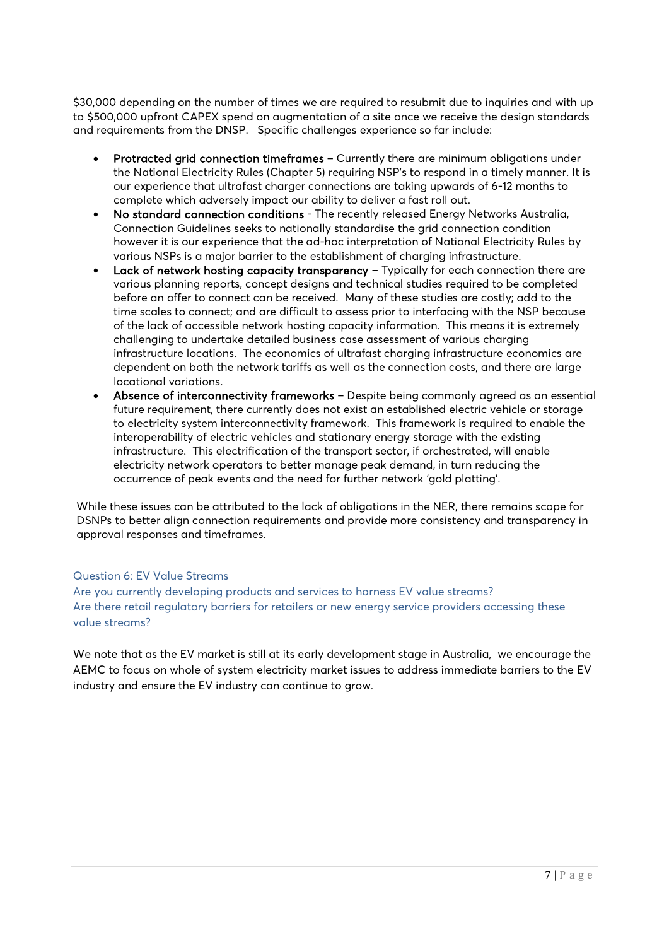\$30,000 depending on the number of times we are required to resubmit due to inquiries and with up to \$500,000 upfront CAPEX spend on augmentation of a site once we receive the design standards and requirements from the DNSP. Specific challenges experience so far include:

- Protracted grid connection timeframes Currently there are minimum obligations under the National Electricity Rules (Chapter 5) requiring NSP's to respond in a timely manner. It is our experience that ultrafast charger connections are taking upwards of 6-12 months to complete which adversely impact our ability to deliver a fast roll out.
- No standard connection conditions The recently released Energy Networks Australia, Connection Guidelines seeks to nationally standardise the grid connection condition however it is our experience that the ad-hoc interpretation of National Electricity Rules by various NSPs is a major barrier to the establishment of charging infrastructure.
- Lack of network hosting capacity transparency Typically for each connection there are various planning reports, concept designs and technical studies required to be completed before an offer to connect can be received. Many of these studies are costly; add to the time scales to connect; and are difficult to assess prior to interfacing with the NSP because of the lack of accessible network hosting capacity information. This means it is extremely challenging to undertake detailed business case assessment of various charging infrastructure locations. The economics of ultrafast charging infrastructure economics are dependent on both the network tariffs as well as the connection costs, and there are large locational variations.
- Absence of interconnectivity frameworks Despite being commonly agreed as an essential future requirement, there currently does not exist an established electric vehicle or storage to electricity system interconnectivity framework. This framework is required to enable the interoperability of electric vehicles and stationary energy storage with the existing infrastructure. This electrification of the transport sector, if orchestrated, will enable electricity network operators to better manage peak demand, in turn reducing the occurrence of peak events and the need for further network 'gold platting'.

While these issues can be attributed to the lack of obligations in the NER, there remains scope for DSNPs to better align connection requirements and provide more consistency and transparency in approval responses and timeframes.

# Question 6: EV Value Streams

Are you currently developing products and services to harness EV value streams? Are there retail regulatory barriers for retailers or new energy service providers accessing these value streams?

We note that as the EV market is still at its early development stage in Australia, we encourage the AEMC to focus on whole of system electricity market issues to address immediate barriers to the EV industry and ensure the EV industry can continue to grow.